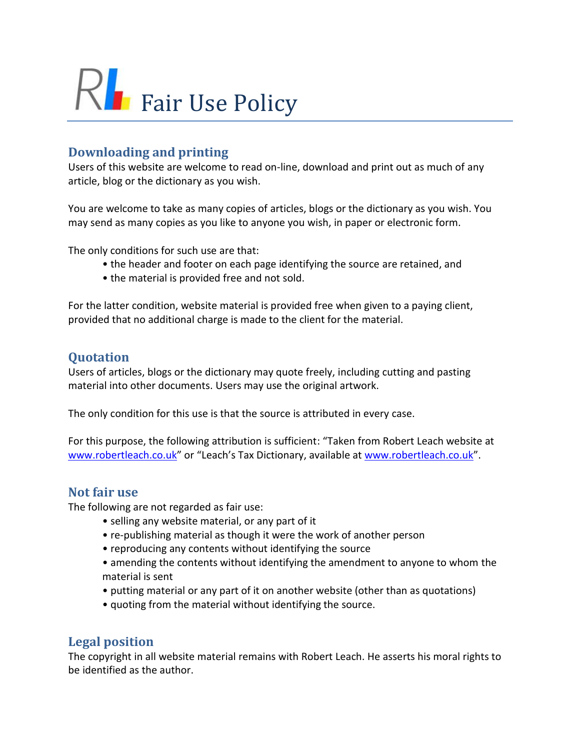

## **Downloading and printing**

Users of this website are welcome to read on-line, download and print out as much of any article, blog or the dictionary as you wish.

You are welcome to take as many copies of articles, blogs or the dictionary as you wish. You may send as many copies as you like to anyone you wish, in paper or electronic form.

The only conditions for such use are that:

- the header and footer on each page identifying the source are retained, and
- the material is provided free and not sold.

For the latter condition, website material is provided free when given to a paying client, provided that no additional charge is made to the client for the material.

## **Quotation**

Users of articles, blogs or the dictionary may quote freely, including cutting and pasting material into other documents. Users may use the original artwork.

The only condition for this use is that the source is attributed in every case.

For this purpose, the following attribution is sufficient: "Taken from Robert Leach website at [www.robertleach.co.uk](http://www.robertleach.co.uk/)" or "Leach's Tax Dictionary, available at [www.robertleach.co.uk](http://www.robertleach.co.uk/)".

## **Not fair use**

The following are not regarded as fair use:

- selling any website material, or any part of it
- re-publishing material as though it were the work of another person
- reproducing any contents without identifying the source
- amending the contents without identifying the amendment to anyone to whom the material is sent
- putting material or any part of it on another website (other than as quotations)
- quoting from the material without identifying the source.

## **Legal position**

The copyright in all website material remains with Robert Leach. He asserts his moral rights to be identified as the author.